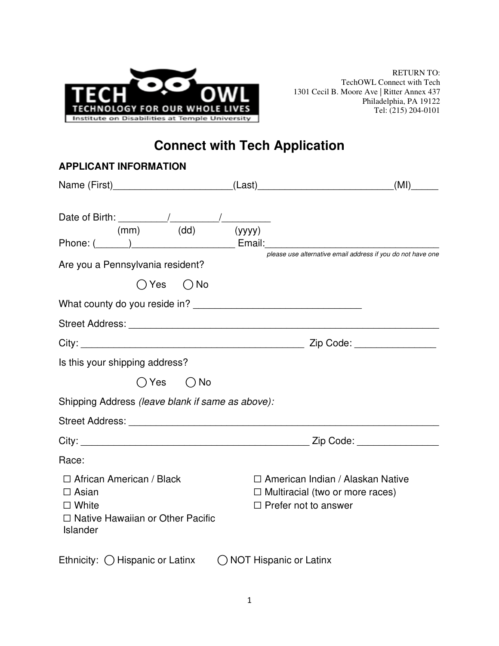

# **Connect with Tech Application**

| <b>APPLICANT INFORMATION</b>                                                                                           |                                                                                                             |
|------------------------------------------------------------------------------------------------------------------------|-------------------------------------------------------------------------------------------------------------|
|                                                                                                                        | (MI)                                                                                                        |
| (dd)<br>(mm)                                                                                                           | (yyyy)                                                                                                      |
| Are you a Pennsylvania resident?                                                                                       | please use alternative email address if you do not have one                                                 |
| $\bigcirc$ Yes $\bigcirc$ No                                                                                           |                                                                                                             |
| What county do you reside in?                                                                                          |                                                                                                             |
|                                                                                                                        |                                                                                                             |
|                                                                                                                        |                                                                                                             |
| Is this your shipping address?                                                                                         |                                                                                                             |
| $\bigcap$ Yes $\bigcap$ No                                                                                             |                                                                                                             |
| Shipping Address (leave blank if same as above):                                                                       |                                                                                                             |
|                                                                                                                        |                                                                                                             |
|                                                                                                                        |                                                                                                             |
| Race:                                                                                                                  |                                                                                                             |
| $\Box$ African American / Black<br>$\Box$ Asian<br>$\Box$ White<br>$\Box$ Native Hawaiian or Other Pacific<br>Islander | □ American Indian / Alaskan Native<br>$\Box$ Multiracial (two or more races)<br>$\Box$ Prefer not to answer |
| Ethnicity: ( Hispanic or Latinx                                                                                        | ◯ NOT Hispanic or Latinx                                                                                    |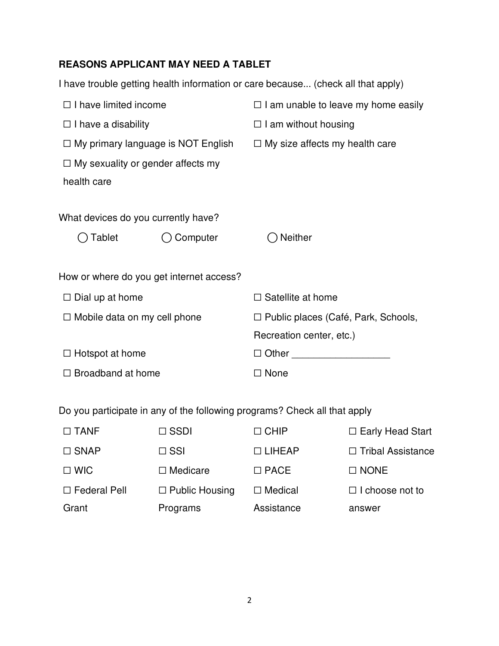## **REASONS APPLICANT MAY NEED A TABLET**

|                                           |                                          | I have trouble getting health information or care because (check all that apply) |  |
|-------------------------------------------|------------------------------------------|----------------------------------------------------------------------------------|--|
| $\Box$ I have limited income              |                                          | $\Box$ I am unable to leave my home easily                                       |  |
| $\Box$ I have a disability                |                                          | $\Box$ I am without housing                                                      |  |
| $\Box$ My primary language is NOT English |                                          | $\Box$ My size affects my health care                                            |  |
| $\Box$ My sexuality or gender affects my  |                                          |                                                                                  |  |
| health care                               |                                          |                                                                                  |  |
|                                           |                                          |                                                                                  |  |
| What devices do you currently have?       |                                          |                                                                                  |  |
| Tablet                                    | Computer                                 | Neither                                                                          |  |
|                                           |                                          |                                                                                  |  |
|                                           | How or where do you get internet access? |                                                                                  |  |
| $\Box$ Dial up at home                    |                                          | $\Box$ Satellite at home                                                         |  |
| $\Box$ Mobile data on my cell phone       |                                          | □ Public places (Café, Park, Schools,                                            |  |
|                                           |                                          | Recreation center, etc.)                                                         |  |
| $\Box$ Hotspot at home                    |                                          | $\Box$ Other $\Box$                                                              |  |
| $\Box$ Broadband at home                  |                                          | $\Box$ None                                                                      |  |
|                                           |                                          |                                                                                  |  |

Do you participate in any of the following programs? Check all that apply

| $\Box$ TANF         | $\Box$ SSDI           | $\Box$ CHIP    | $\Box$ Early Head Start  |
|---------------------|-----------------------|----------------|--------------------------|
| $\Box$ SNAP         | $\Box$ SSI            | $\Box$ LIHEAP  | $\Box$ Tribal Assistance |
| $\Box$ WIC          | $\Box$ Medicare       | $\Box$ PACE    | $\Box$ NONE              |
| $\Box$ Federal Pell | $\Box$ Public Housing | $\Box$ Medical | $\Box$ I choose not to   |
| Grant               | Programs              | Assistance     | answer                   |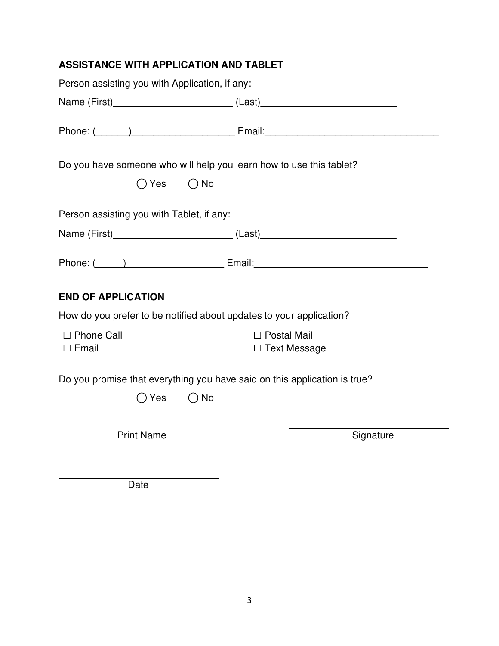## **ASSISTANCE WITH APPLICATION AND TABLET**

| Person assisting you with Application, if any:                                                         |                                                                                                                                                                                                                                     |  |  |  |
|--------------------------------------------------------------------------------------------------------|-------------------------------------------------------------------------------------------------------------------------------------------------------------------------------------------------------------------------------------|--|--|--|
| Name (First)___________________________________(Last)___________________________                       |                                                                                                                                                                                                                                     |  |  |  |
|                                                                                                        | Phone: ( <u>Call and Communication</u> Email: Email: Email: Communication of the Communication of the Email: Communication of the Communication of the Communication of the Communication of the Communication of the Communication |  |  |  |
| Do you have someone who will help you learn how to use this tablet?<br>$\bigcirc$ Yes<br>$\bigcirc$ No |                                                                                                                                                                                                                                     |  |  |  |
| Person assisting you with Tablet, if any:                                                              |                                                                                                                                                                                                                                     |  |  |  |
| Name (First)_________________________________(Last)_____________________________                       |                                                                                                                                                                                                                                     |  |  |  |
|                                                                                                        |                                                                                                                                                                                                                                     |  |  |  |
| <b>END OF APPLICATION</b>                                                                              |                                                                                                                                                                                                                                     |  |  |  |
| How do you prefer to be notified about updates to your application?                                    |                                                                                                                                                                                                                                     |  |  |  |
| $\Box$ Phone Call<br>$\Box$ Email                                                                      | $\Box$ Postal Mail<br>$\Box$ Text Message                                                                                                                                                                                           |  |  |  |
| Do you promise that everything you have said on this application is true?                              |                                                                                                                                                                                                                                     |  |  |  |
| ∩ Yes<br>$\bigcap$ No                                                                                  |                                                                                                                                                                                                                                     |  |  |  |
|                                                                                                        |                                                                                                                                                                                                                                     |  |  |  |
| <b>Print Name</b>                                                                                      | Signature                                                                                                                                                                                                                           |  |  |  |
|                                                                                                        |                                                                                                                                                                                                                                     |  |  |  |
| Doto L                                                                                                 |                                                                                                                                                                                                                                     |  |  |  |

Date